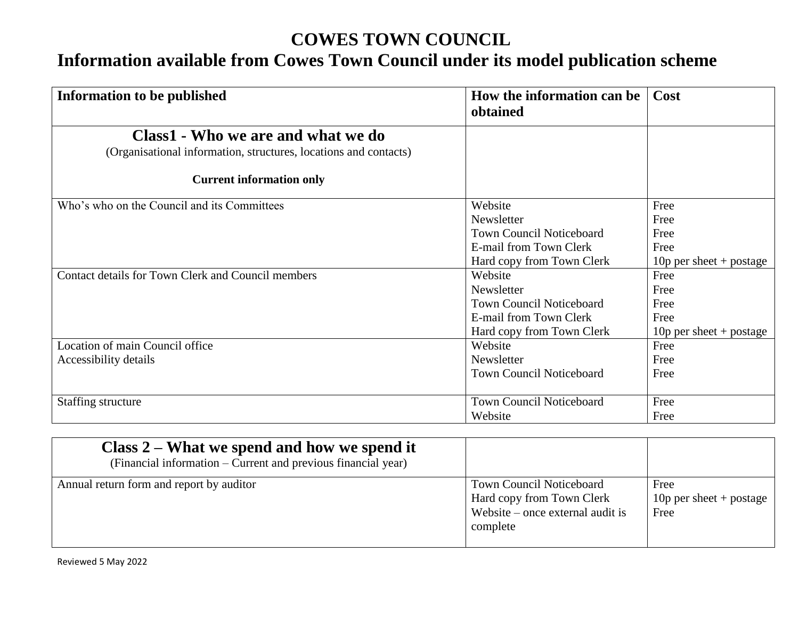## **COWES TOWN COUNCIL**

# **Information available from Cowes Town Council under its model publication scheme**

| How the information can be<br>obtained | Cost                                                                    |
|----------------------------------------|-------------------------------------------------------------------------|
|                                        |                                                                         |
|                                        |                                                                         |
|                                        |                                                                         |
| Website                                | Free                                                                    |
| Newsletter                             | Free                                                                    |
| <b>Town Council Noticeboard</b>        | Free                                                                    |
| E-mail from Town Clerk                 | Free                                                                    |
|                                        | 10 $p$ per sheet + postage                                              |
| Website                                | Free                                                                    |
| Newsletter                             | Free                                                                    |
| <b>Town Council Noticeboard</b>        | Free                                                                    |
| E-mail from Town Clerk                 | Free                                                                    |
| Hard copy from Town Clerk              | 10 $p$ per sheet + postage                                              |
| Website                                | Free                                                                    |
| Newsletter                             | Free                                                                    |
| <b>Town Council Noticeboard</b>        | Free                                                                    |
|                                        | Free                                                                    |
|                                        | Free                                                                    |
|                                        | Hard copy from Town Clerk<br><b>Town Council Noticeboard</b><br>Website |

| Class $2$ – What we spend and how we spend it<br>(Financial information – Current and previous financial year) |                                                                                                                |                                            |
|----------------------------------------------------------------------------------------------------------------|----------------------------------------------------------------------------------------------------------------|--------------------------------------------|
| Annual return form and report by auditor                                                                       | <b>Town Council Noticeboard</b><br>Hard copy from Town Clerk<br>Website $-$ once external audit is<br>complete | Free<br>10 $p$ per sheet + postage<br>Free |

Reviewed 5 May 2022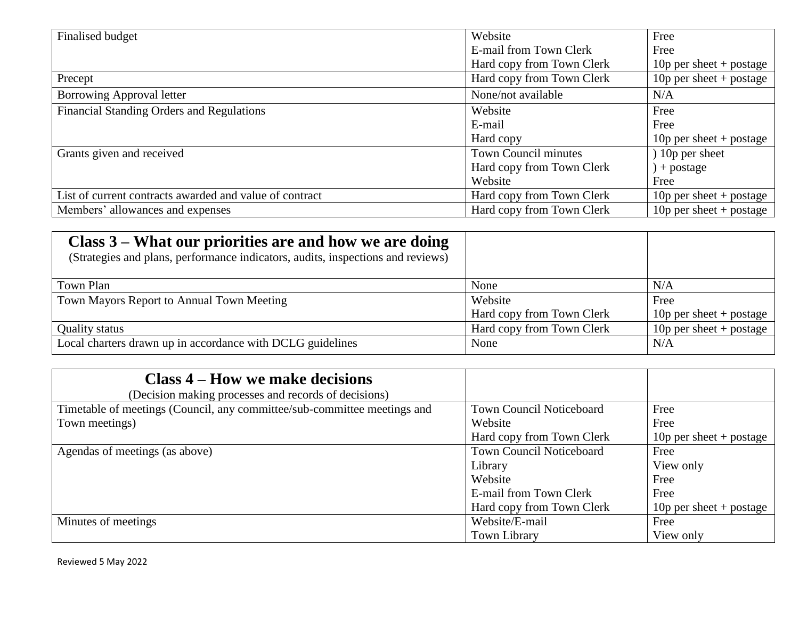| Finalised budget                                        | Website                     | Free                       |
|---------------------------------------------------------|-----------------------------|----------------------------|
|                                                         | E-mail from Town Clerk      | Free                       |
|                                                         | Hard copy from Town Clerk   | 10 $p$ per sheet + postage |
| Precept                                                 | Hard copy from Town Clerk   | 10 $p$ per sheet + postage |
| Borrowing Approval letter                               | None/not available          | N/A                        |
| Financial Standing Orders and Regulations               | Website                     | Free                       |
|                                                         | E-mail                      | Free                       |
|                                                         | Hard copy                   | 10 $p$ per sheet + postage |
| Grants given and received                               | <b>Town Council minutes</b> | 10p per sheet              |
|                                                         | Hard copy from Town Clerk   | ) + postage                |
|                                                         | Website                     | Free                       |
| List of current contracts awarded and value of contract | Hard copy from Town Clerk   | 10 $p$ per sheet + postage |
| Members' allowances and expenses                        | Hard copy from Town Clerk   | 10 $p$ per sheet + postage |

| Class 3 – What our priorities are and how we are doing<br>(Strategies and plans, performance indicators, audits, inspections and reviews) |                           |                            |
|-------------------------------------------------------------------------------------------------------------------------------------------|---------------------------|----------------------------|
| Town Plan                                                                                                                                 | None                      | N/A                        |
| Town Mayors Report to Annual Town Meeting                                                                                                 | Website                   | Free                       |
|                                                                                                                                           | Hard copy from Town Clerk | 10 $p$ per sheet + postage |
| <b>Quality status</b>                                                                                                                     | Hard copy from Town Clerk | 10 $p$ per sheet + postage |
| Local charters drawn up in accordance with DCLG guidelines                                                                                | None                      | N/A                        |

| Class 4 – How we make decisions                                          |                                 |                            |
|--------------------------------------------------------------------------|---------------------------------|----------------------------|
| (Decision making processes and records of decisions)                     |                                 |                            |
| Timetable of meetings (Council, any committee/sub-committee meetings and | <b>Town Council Noticeboard</b> | Free                       |
| Town meetings)                                                           | Website                         | Free                       |
|                                                                          | Hard copy from Town Clerk       | 10 $p$ per sheet + postage |
| Agendas of meetings (as above)                                           | <b>Town Council Noticeboard</b> | Free                       |
|                                                                          | Library                         | View only                  |
|                                                                          | Website                         | Free                       |
|                                                                          | E-mail from Town Clerk          | Free                       |
|                                                                          | Hard copy from Town Clerk       | 10 $p$ per sheet + postage |
| Minutes of meetings                                                      | Website/E-mail                  | Free                       |
|                                                                          | <b>Town Library</b>             | View only                  |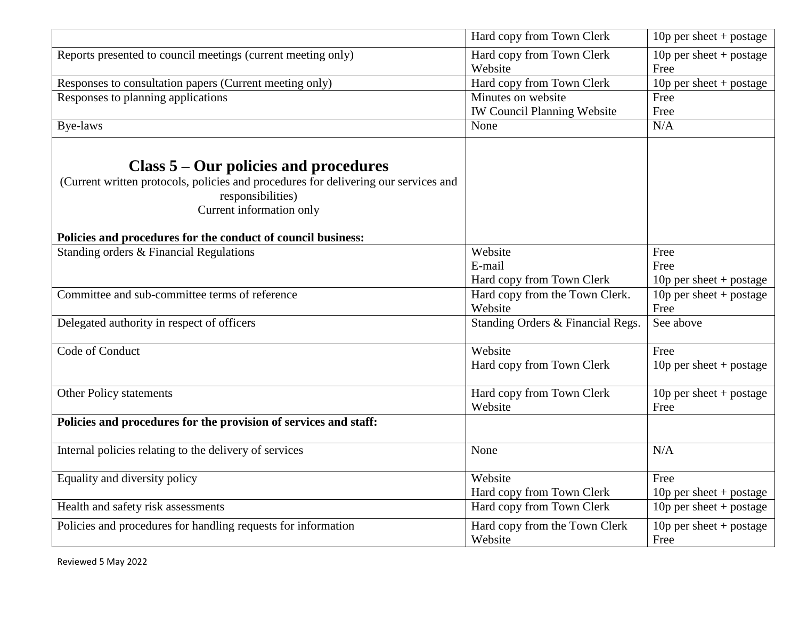|                                                                                                                                                                                                                                                 | Hard copy from Town Clerk                                | 10 $p$ per sheet + postage         |
|-------------------------------------------------------------------------------------------------------------------------------------------------------------------------------------------------------------------------------------------------|----------------------------------------------------------|------------------------------------|
| Reports presented to council meetings (current meeting only)                                                                                                                                                                                    | Hard copy from Town Clerk<br>Website                     | 10p per sheet + postage<br>Free    |
| Responses to consultation papers (Current meeting only)                                                                                                                                                                                         | Hard copy from Town Clerk                                | 10p per sheet + postage            |
| Responses to planning applications                                                                                                                                                                                                              | Minutes on website<br><b>IW Council Planning Website</b> | Free<br>Free                       |
| Bye-laws                                                                                                                                                                                                                                        | None                                                     | N/A                                |
| Class $5 -$ Our policies and procedures<br>(Current written protocols, policies and procedures for delivering our services and<br>responsibilities)<br>Current information only<br>Policies and procedures for the conduct of council business: |                                                          |                                    |
| Standing orders & Financial Regulations                                                                                                                                                                                                         | Website                                                  | Free                               |
|                                                                                                                                                                                                                                                 | E-mail                                                   | Free                               |
|                                                                                                                                                                                                                                                 | Hard copy from Town Clerk                                | 10 $p$ per sheet + postage         |
| Committee and sub-committee terms of reference                                                                                                                                                                                                  | Hard copy from the Town Clerk.<br>Website                | 10p per sheet + postage<br>Free    |
| Delegated authority in respect of officers                                                                                                                                                                                                      | Standing Orders & Financial Regs.                        | See above                          |
| Code of Conduct                                                                                                                                                                                                                                 | Website<br>Hard copy from Town Clerk                     | Free<br>10 $p$ per sheet + postage |
| Other Policy statements                                                                                                                                                                                                                         | Hard copy from Town Clerk<br>Website                     | 10 $p$ per sheet + postage<br>Free |
| Policies and procedures for the provision of services and staff:                                                                                                                                                                                |                                                          |                                    |
| Internal policies relating to the delivery of services                                                                                                                                                                                          | None                                                     | N/A                                |
| Equality and diversity policy                                                                                                                                                                                                                   | Website<br>Hard copy from Town Clerk                     | Free<br>10 $p$ per sheet + postage |
| Health and safety risk assessments                                                                                                                                                                                                              | Hard copy from Town Clerk                                | 10 $p$ per sheet + postage         |
| Policies and procedures for handling requests for information                                                                                                                                                                                   | Hard copy from the Town Clerk<br>Website                 | 10 $p$ per sheet + postage<br>Free |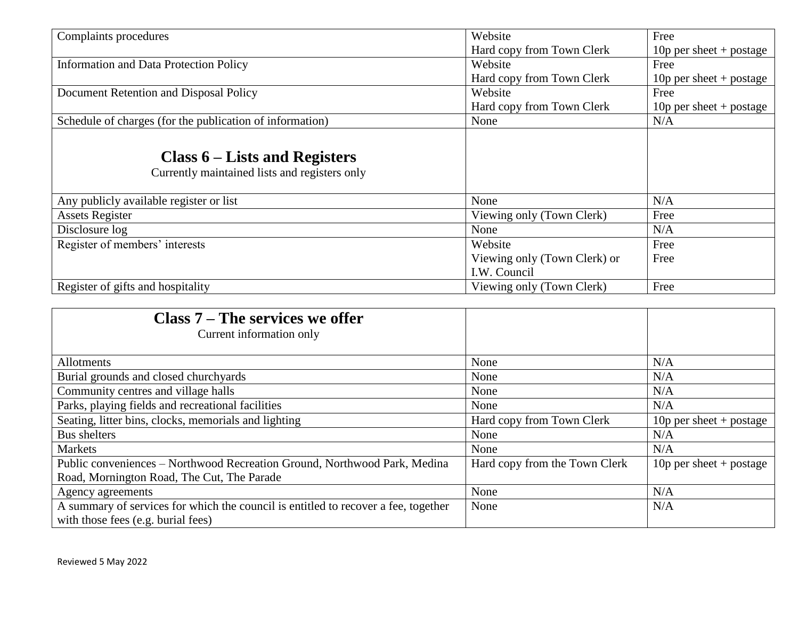| Complaints procedures                                                            | Website                      | Free                       |
|----------------------------------------------------------------------------------|------------------------------|----------------------------|
|                                                                                  | Hard copy from Town Clerk    | 10p per sheet + postage    |
| <b>Information and Data Protection Policy</b>                                    | Website                      | Free                       |
|                                                                                  | Hard copy from Town Clerk    | 10 $p$ per sheet + postage |
| Document Retention and Disposal Policy                                           | Website                      | Free                       |
|                                                                                  | Hard copy from Town Clerk    | 10p per sheet + postage    |
| Schedule of charges (for the publication of information)                         | None                         | N/A                        |
| Class $6$ – Lists and Registers<br>Currently maintained lists and registers only |                              |                            |
| Any publicly available register or list                                          | None                         | N/A                        |
| <b>Assets Register</b>                                                           | Viewing only (Town Clerk)    | Free                       |
| Disclosure log                                                                   | None                         | N/A                        |
| Register of members' interests                                                   | Website                      | Free                       |
|                                                                                  | Viewing only (Town Clerk) or | Free                       |
|                                                                                  | I.W. Council                 |                            |
| Register of gifts and hospitality                                                | Viewing only (Town Clerk)    | Free                       |

| Class $7 -$ The services we offer                                                  |                               |                            |
|------------------------------------------------------------------------------------|-------------------------------|----------------------------|
| Current information only                                                           |                               |                            |
|                                                                                    |                               |                            |
| <b>Allotments</b>                                                                  | None                          | N/A                        |
| Burial grounds and closed churchyards                                              | None                          | N/A                        |
| Community centres and village halls                                                | None                          | N/A                        |
| Parks, playing fields and recreational facilities                                  | None                          | N/A                        |
| Seating, litter bins, clocks, memorials and lighting                               | Hard copy from Town Clerk     | 10 $p$ per sheet + postage |
| Bus shelters                                                                       | None                          | N/A                        |
| <b>Markets</b>                                                                     | None                          | N/A                        |
| Public conveniences – Northwood Recreation Ground, Northwood Park, Medina          | Hard copy from the Town Clerk | 10 $p$ per sheet + postage |
| Road, Mornington Road, The Cut, The Parade                                         |                               |                            |
| Agency agreements                                                                  | None                          | N/A                        |
| A summary of services for which the council is entitled to recover a fee, together | None                          | N/A                        |
| with those fees (e.g. burial fees)                                                 |                               |                            |